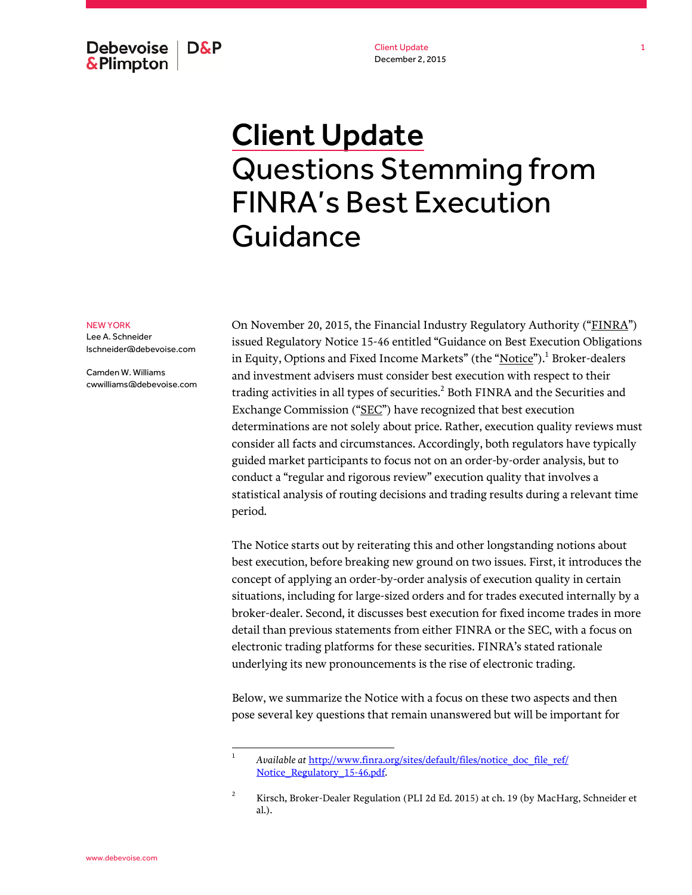Debevoise **D&P** & Plimpton

Client Update December 2, 2015

## Client Update Questions Stemming from FINRA's Best Execution Guidance

## NEW YORK

Lee A. Schneider lschneider@debevoise.com

Camden W. Williams cwwilliams@debevoise.com On November 20, 2015, the Financial Industry Regulatory Authority ("FINRA") issued Regulatory Notice 15-46 entitled "Guidance on Best Execution Obligations in Equity, Options and Fixed Income Markets" (the "<u>Notice</u>").<sup>1</sup> Broker-dealers and investment advisers must consider best execution with respect to their trading activities in all types of securities. $^{\rm 2}$  Both FINRA and the Securities and Exchange Commission ("SEC") have recognized that best execution determinations are not solely about price. Rather, execution quality reviews must consider all facts and circumstances. Accordingly, both regulators have typically guided market participants to focus not on an order-by-order analysis, but to conduct a "regular and rigorous review" execution quality that involves a statistical analysis of routing decisions and trading results during a relevant time period.

The Notice starts out by reiterating this and other longstanding notions about best execution, before breaking new ground on two issues. First, it introduces the concept of applying an order-by-order analysis of execution quality in certain situations, including for large-sized orders and for trades executed internally by a broker-dealer. Second, it discusses best execution for fixed income trades in more detail than previous statements from either FINRA or the SEC, with a focus on electronic trading platforms for these securities. FINRA's stated rationale underlying its new pronouncements is the rise of electronic trading.

Below, we summarize the Notice with a focus on these two aspects and then pose several key questions that remain unanswered but will be important for

<sup>1</sup> *Available at* http://www.finra.org/sites/default/files/notice\_doc\_file\_ref/ Notice\_Regulatory\_15-46.pdf.

<sup>&</sup>lt;sup>2</sup> Kirsch, Broker-Dealer Regulation (PLI 2d Ed. 2015) at ch. 19 (by MacHarg, Schneider et al.).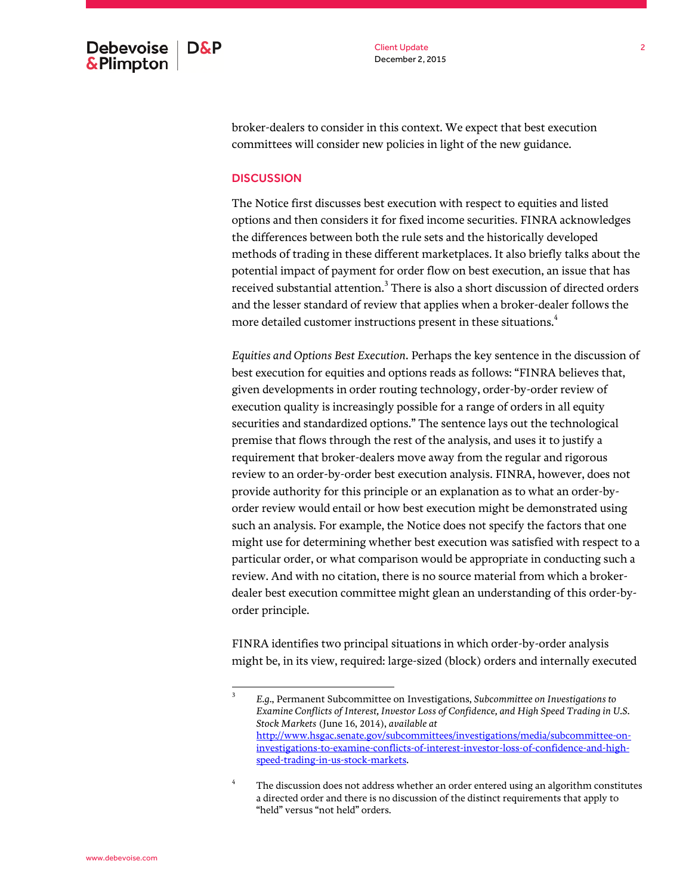Client Update December 2, 2015

broker-dealers to consider in this context. We expect that best execution committees will consider new policies in light of the new guidance.

## **DISCUSSION**

The Notice first discusses best execution with respect to equities and listed options and then considers it for fixed income securities. FINRA acknowledges the differences between both the rule sets and the historically developed methods of trading in these different marketplaces. It also briefly talks about the potential impact of payment for order flow on best execution, an issue that has received substantial attention. $^3$  There is also a short discussion of directed orders and the lesser standard of review that applies when a broker-dealer follows the more detailed customer instructions present in these situations.<sup>4</sup>

*Equities and Options Best Execution*. Perhaps the key sentence in the discussion of best execution for equities and options reads as follows: "FINRA believes that, given developments in order routing technology, order-by-order review of execution quality is increasingly possible for a range of orders in all equity securities and standardized options." The sentence lays out the technological premise that flows through the rest of the analysis, and uses it to justify a requirement that broker-dealers move away from the regular and rigorous review to an order-by-order best execution analysis. FINRA, however, does not provide authority for this principle or an explanation as to what an order-byorder review would entail or how best execution might be demonstrated using such an analysis. For example, the Notice does not specify the factors that one might use for determining whether best execution was satisfied with respect to a particular order, or what comparison would be appropriate in conducting such a review. And with no citation, there is no source material from which a brokerdealer best execution committee might glean an understanding of this order-byorder principle.

FINRA identifies two principal situations in which order-by-order analysis might be, in its view, required: large-sized (block) orders and internally executed

<sup>3</sup> *E.g*., Permanent Subcommittee on Investigations, *Subcommittee on Investigations to Examine Conflicts of Interest, Investor Loss of Confidence, and High Speed Trading in U.S. Stock Markets* (June 16, 2014), *available at* http://www.hsgac.senate.gov/subcommittees/investigations/media/subcommittee-oninvestigations-to-examine-conflicts-of-interest-investor-loss-of-confidence-and-highspeed-trading-in-us-stock-markets.

<sup>4</sup> The discussion does not address whether an order entered using an algorithm constitutes a directed order and there is no discussion of the distinct requirements that apply to "held" versus "not held" orders.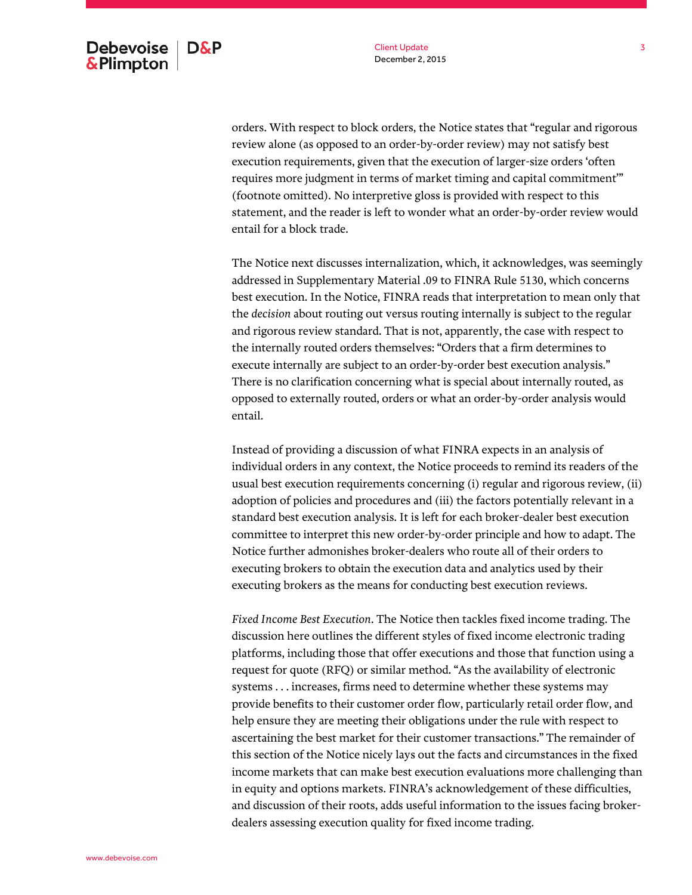Client Update December 2, 2015

orders. With respect to block orders, the Notice states that "regular and rigorous review alone (as opposed to an order-by-order review) may not satisfy best execution requirements, given that the execution of larger-size orders 'often requires more judgment in terms of market timing and capital commitment'" (footnote omitted). No interpretive gloss is provided with respect to this statement, and the reader is left to wonder what an order-by-order review would entail for a block trade.

The Notice next discusses internalization, which, it acknowledges, was seemingly addressed in Supplementary Material .09 to FINRA Rule 5130, which concerns best execution. In the Notice, FINRA reads that interpretation to mean only that the *decision* about routing out versus routing internally is subject to the regular and rigorous review standard. That is not, apparently, the case with respect to the internally routed orders themselves: "Orders that a firm determines to execute internally are subject to an order-by-order best execution analysis." There is no clarification concerning what is special about internally routed, as opposed to externally routed, orders or what an order-by-order analysis would entail.

Instead of providing a discussion of what FINRA expects in an analysis of individual orders in any context, the Notice proceeds to remind its readers of the usual best execution requirements concerning (i) regular and rigorous review, (ii) adoption of policies and procedures and (iii) the factors potentially relevant in a standard best execution analysis. It is left for each broker-dealer best execution committee to interpret this new order-by-order principle and how to adapt. The Notice further admonishes broker-dealers who route all of their orders to executing brokers to obtain the execution data and analytics used by their executing brokers as the means for conducting best execution reviews.

*Fixed Income Best Execution*. The Notice then tackles fixed income trading. The discussion here outlines the different styles of fixed income electronic trading platforms, including those that offer executions and those that function using a request for quote (RFQ) or similar method. "As the availability of electronic systems . . . increases, firms need to determine whether these systems may provide benefits to their customer order flow, particularly retail order flow, and help ensure they are meeting their obligations under the rule with respect to ascertaining the best market for their customer transactions." The remainder of this section of the Notice nicely lays out the facts and circumstances in the fixed income markets that can make best execution evaluations more challenging than in equity and options markets. FINRA's acknowledgement of these difficulties, and discussion of their roots, adds useful information to the issues facing brokerdealers assessing execution quality for fixed income trading.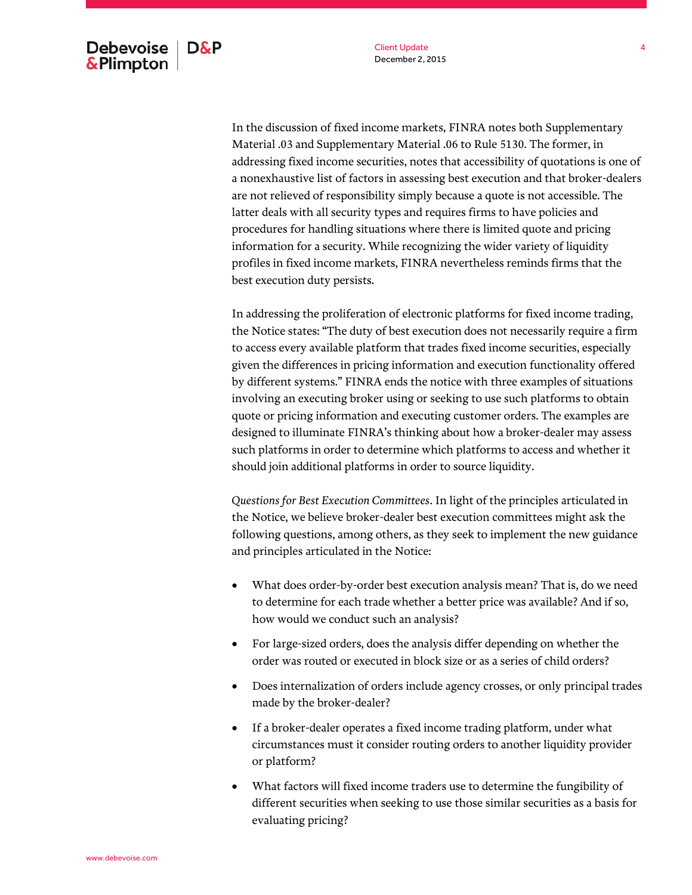In the discussion of fixed income markets, FINRA notes both Supplementary Material .03 and Supplementary Material .06 to Rule 5130. The former, in addressing fixed income securities, notes that accessibility of quotations is one of a nonexhaustive list of factors in assessing best execution and that broker-dealers are not relieved of responsibility simply because a quote is not accessible. The latter deals with all security types and requires firms to have policies and procedures for handling situations where there is limited quote and pricing information for a security. While recognizing the wider variety of liquidity profiles in fixed income markets, FINRA nevertheless reminds firms that the best execution duty persists.

In addressing the proliferation of electronic platforms for fixed income trading, the Notice states: "The duty of best execution does not necessarily require a firm to access every available platform that trades fixed income securities, especially given the differences in pricing information and execution functionality offered by different systems." FINRA ends the notice with three examples of situations involving an executing broker using or seeking to use such platforms to obtain quote or pricing information and executing customer orders. The examples are designed to illuminate FINRA's thinking about how a broker-dealer may assess such platforms in order to determine which platforms to access and whether it should join additional platforms in order to source liquidity.

*Questions for Best Execution Committees*. In light of the principles articulated in the Notice, we believe broker-dealer best execution committees might ask the following questions, among others, as they seek to implement the new guidance and principles articulated in the Notice:

- What does order-by-order best execution analysis mean? That is, do we need to determine for each trade whether a better price was available? And if so, how would we conduct such an analysis?
- For large-sized orders, does the analysis differ depending on whether the order was routed or executed in block size or as a series of child orders?
- Does internalization of orders include agency crosses, or only principal trades made by the broker-dealer?
- If a broker-dealer operates a fixed income trading platform, under what circumstances must it consider routing orders to another liquidity provider or platform?
- What factors will fixed income traders use to determine the fungibility of different securities when seeking to use those similar securities as a basis for evaluating pricing?